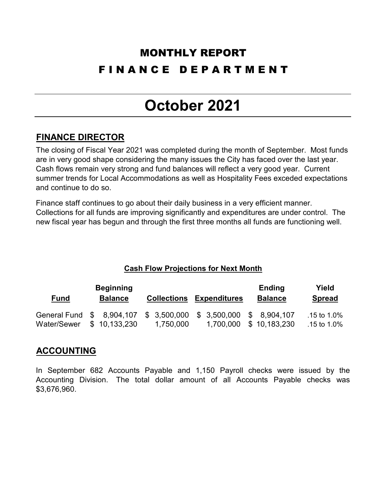### MONTHLY REPORT F I N A N C E D E P A R T M E N T

## **October 2021**

#### **FINANCE DIRECTOR**

The closing of Fiscal Year 2021 was completed during the month of September. Most funds are in very good shape considering the many issues the City has faced over the last year. Cash flows remain very strong and fund balances will reflect a very good year. Current summer trends for Local Accommodations as well as Hospitality Fees exceded expectations and continue to do so.

Finance staff continues to go about their daily business in a very efficient manner. Collections for all funds are improving significantly and expenditures are under control. The new fiscal year has begun and through the first three months all funds are functioning well.

#### **Cash Flow Projections for Next Month**

| <b>Beginning</b>          |  |                |  |                           |                     | <b>Ending</b>  | Yield          |
|---------------------------|--|----------------|--|---------------------------|---------------------|----------------|----------------|
| <u>Fund</u>               |  | <b>Balance</b> |  | <b>Collections</b>        | <b>Expenditures</b> | <b>Balance</b> | <b>Spread</b>  |
| General Fund \$ 8,904,107 |  |                |  | $$3,500,000$ $$3,500,000$ |                     | \$ 8.904.107   | .15 to $1.0\%$ |
| Water/Sewer               |  | \$10,133,230   |  | 1,750,000                 | 1,700,000           | \$10,183,230   | .15 to $1.0\%$ |

#### **ACCOUNTING**

In September 682 Accounts Payable and 1,150 Payroll checks were issued by the Accounting Division. The total dollar amount of all Accounts Payable checks was \$3,676,960.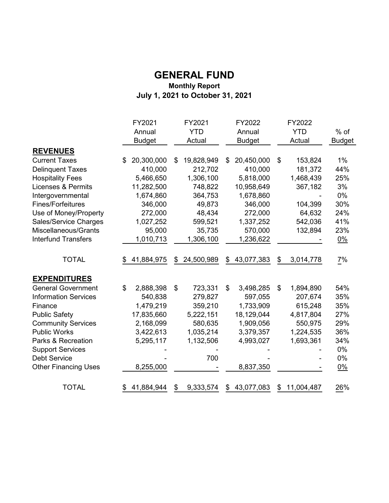#### **GENERAL FUND Monthly Report July 1, 2021 to October 31, 2021**

|                               | FY2021           | FY2021           | FY2022           | FY2022           |                 |
|-------------------------------|------------------|------------------|------------------|------------------|-----------------|
|                               | Annual           | <b>YTD</b>       | Annual           | <b>YTD</b>       | $%$ of          |
|                               | <b>Budget</b>    | Actual           | <b>Budget</b>    | Actual           | <b>Budget</b>   |
| <b>REVENUES</b>               |                  |                  |                  |                  |                 |
| <b>Current Taxes</b>          | 20,300,000<br>\$ | 19,828,949<br>\$ | 20,450,000<br>\$ | \$<br>153,824    | $1\%$           |
| <b>Delinquent Taxes</b>       | 410,000          | 212,702          | 410,000          | 181,372          | 44%             |
| <b>Hospitality Fees</b>       | 5,466,650        | 1,306,100        | 5,818,000        | 1,468,439        | 25%             |
| <b>Licenses &amp; Permits</b> | 11,282,500       | 748,822          | 10,958,649       | 367,182          | 3%              |
| Intergovernmental             | 1,674,860        | 364,753          | 1,678,860        |                  | 0%              |
| <b>Fines/Forfeitures</b>      | 346,000          | 49,873           | 346,000          | 104,399          | 30%             |
| Use of Money/Property         | 272,000          | 48,434           | 272,000          | 64,632           | 24%             |
| Sales/Service Charges         | 1,027,252        | 599,521          | 1,337,252        | 542,036          | 41%             |
| Miscellaneous/Grants          | 95,000           | 35,735           | 570,000          | 132,894          | 23%             |
| <b>Interfund Transfers</b>    | 1,010,713        | 1,306,100        | 1,236,622        |                  | $0\%$           |
| <b>TOTAL</b>                  | 41,884,975       | 24,500,989<br>\$ | 43,077,383<br>\$ | 3,014,778<br>\$  | $\frac{7\%}{4}$ |
| <b>EXPENDITURES</b>           |                  |                  |                  |                  |                 |
| <b>General Government</b>     | \$<br>2,888,398  | \$<br>723,331    | 3,498,285<br>\$  | 1,894,890<br>\$  | 54%             |
| <b>Information Services</b>   | 540,838          | 279,827          | 597,055          | 207,674          | 35%             |
| Finance                       | 1,479,219        | 359,210          | 1,733,909        | 615,248          | 35%             |
| <b>Public Safety</b>          | 17,835,660       | 5,222,151        | 18,129,044       | 4,817,804        | 27%             |
| <b>Community Services</b>     | 2,168,099        | 580,635          | 1,909,056        | 550,975          | 29%             |
| <b>Public Works</b>           | 3,422,613        | 1,035,214        | 3,379,357        | 1,224,535        | 36%             |
| Parks & Recreation            | 5,295,117        | 1,132,506        | 4,993,027        | 1,693,361        | 34%             |
| <b>Support Services</b>       |                  |                  |                  |                  | 0%              |
| <b>Debt Service</b>           |                  | 700              |                  |                  | 0%              |
| <b>Other Financing Uses</b>   | 8,255,000        |                  | 8,837,350        |                  | $0\%$           |
| <b>TOTAL</b>                  | 41,884,944       | 9,333,574<br>\$  | 43,077,083<br>\$ | 11,004,487<br>\$ | 26%             |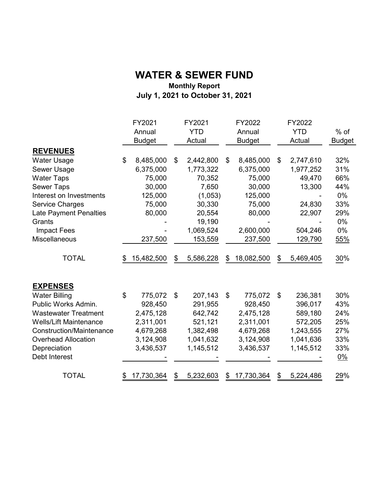#### **Monthly Report July 1, 2021 to October 31, 2021 WATER & SEWER FUND**

|                                 | FY2021           | FY2021          | FY2022           | FY2022          |               |
|---------------------------------|------------------|-----------------|------------------|-----------------|---------------|
|                                 | Annual           | <b>YTD</b>      | Annual           | <b>YTD</b>      | $%$ of        |
|                                 | <b>Budget</b>    | Actual          | <b>Budget</b>    | Actual          | <b>Budget</b> |
| <b>REVENUES</b>                 |                  |                 |                  |                 |               |
| <b>Water Usage</b>              | \$<br>8,485,000  | \$<br>2,442,800 | \$<br>8,485,000  | \$<br>2,747,610 | 32%           |
| Sewer Usage                     | 6,375,000        | 1,773,322       | 6,375,000        | 1,977,252       | 31%           |
| <b>Water Taps</b>               | 75,000           | 70,352          | 75,000           | 49,470          | 66%           |
| <b>Sewer Taps</b>               | 30,000           | 7,650           | 30,000           | 13,300          | 44%           |
| Interest on Investments         | 125,000          | (1,053)         | 125,000          |                 | $0\%$         |
| <b>Service Charges</b>          | 75,000           | 30,330          | 75,000           | 24,830          | 33%           |
| <b>Late Payment Penalties</b>   | 80,000           | 20,554          | 80,000           | 22,907          | 29%           |
| Grants                          |                  | 19,190          |                  |                 | $0\%$         |
| <b>Impact Fees</b>              |                  | 1,069,524       | 2,600,000        | 504,246         | 0%            |
| Miscellaneous                   | 237,500          | 153,559         | 237,500          | 129,790         | 55%           |
| <b>TOTAL</b>                    | \$<br>15,482,500 | \$<br>5,586,228 | \$<br>18,082,500 | \$<br>5,469,405 | 30%           |
| <b>EXPENSES</b>                 |                  |                 |                  |                 |               |
| <b>Water Billing</b>            | \$<br>775,072    | \$<br>207,143   | \$<br>775,072    | \$<br>236,381   | 30%           |
| Public Works Admin.             | 928,450          | 291,955         | 928,450          | 396,017         | 43%           |
| <b>Wastewater Treatment</b>     | 2,475,128        | 642,742         | 2,475,128        | 589,180         | 24%           |
| <b>Wells/Lift Maintenance</b>   | 2,311,001        | 521,121         | 2,311,001        | 572,205         | 25%           |
| <b>Construction/Maintenance</b> | 4,679,268        | 1,382,498       | 4,679,268        | 1,243,555       | 27%           |
| <b>Overhead Allocation</b>      | 3,124,908        | 1,041,632       | 3,124,908        | 1,041,636       | 33%           |
| Depreciation                    | 3,436,537        | 1,145,512       | 3,436,537        | 1,145,512       | 33%           |
| Debt Interest                   |                  |                 |                  |                 | 0%            |
| <b>TOTAL</b>                    | \$<br>17,730,364 | \$<br>5,232,603 | \$<br>17,730,364 | \$<br>5,224,486 | 29%           |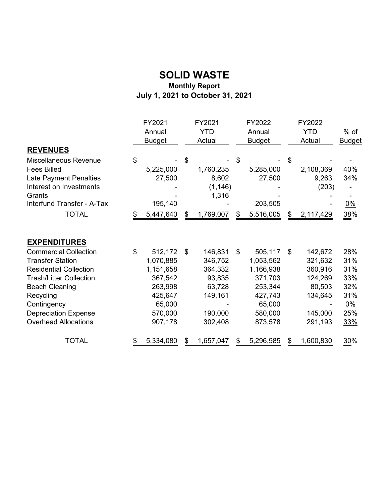#### **SOLID WASTE Monthly Report July 1, 2021 to October 31, 2021**

| <b>REVENUES</b>                                                                                                                                                                                                                               | FY2021<br>Annual<br><b>Budget</b>                                                                        | FY2021<br><b>YTD</b><br>Actual                                                           | FY2022<br>Annual<br><b>Budget</b> |                                                                                                    |    | FY2022<br><b>YTD</b><br>Actual                                                      | $%$ of<br><b>Budget</b>                                           |
|-----------------------------------------------------------------------------------------------------------------------------------------------------------------------------------------------------------------------------------------------|----------------------------------------------------------------------------------------------------------|------------------------------------------------------------------------------------------|-----------------------------------|----------------------------------------------------------------------------------------------------|----|-------------------------------------------------------------------------------------|-------------------------------------------------------------------|
| Miscellaneous Revenue<br><b>Fees Billed</b><br>Late Payment Penalties<br>Interest on Investments<br>Grants<br>Interfund Transfer - A-Tax                                                                                                      | \$<br>5,225,000<br>27,500<br>195,140                                                                     | \$<br>1,760,235<br>8,602<br>(1, 146)<br>1,316                                            | \$                                | 5,285,000<br>27,500<br>203,505                                                                     |    | 2,108,369<br>9,263<br>(203)                                                         | 40%<br>34%<br>$0\%$                                               |
| <b>TOTAL</b>                                                                                                                                                                                                                                  | \$<br>5,447,640                                                                                          | \$<br>1,769,007                                                                          | \$                                | 5,516,005                                                                                          | \$ | 2,117,429                                                                           | 38%                                                               |
| <b>EXPENDITURES</b>                                                                                                                                                                                                                           |                                                                                                          |                                                                                          |                                   |                                                                                                    |    |                                                                                     |                                                                   |
| <b>Commercial Collection</b><br><b>Transfer Station</b><br><b>Residential Collection</b><br><b>Trash/Litter Collection</b><br><b>Beach Cleaning</b><br>Recycling<br>Contingency<br><b>Depreciation Expense</b><br><b>Overhead Allocations</b> | \$<br>512,172<br>1,070,885<br>1,151,658<br>367,542<br>263,998<br>425,647<br>65,000<br>570,000<br>907,178 | \$<br>146,831<br>346,752<br>364,332<br>93,835<br>63,728<br>149,161<br>190,000<br>302,408 | \$                                | 505,117<br>1,053,562<br>1,166,938<br>371,703<br>253,344<br>427,743<br>65,000<br>580,000<br>873,578 | \$ | 142,672<br>321,632<br>360,916<br>124,269<br>80,503<br>134,645<br>145,000<br>291,193 | 28%<br>31%<br>31%<br>33%<br>32%<br>31%<br>0%<br>25%<br><u>33%</u> |
| <b>TOTAL</b>                                                                                                                                                                                                                                  | 5,334,080                                                                                                | 1,657,047                                                                                |                                   | 5,296,985                                                                                          |    | 1,600,830                                                                           | $\frac{30\%}{2}$                                                  |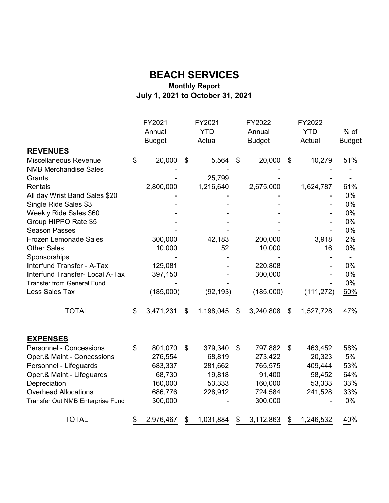#### **Monthly Report July 1, 2021 to October 31, 2021 BEACH SERVICES**

|                                   | FY2021          | FY2021          | FY2022          | FY2022          |               |
|-----------------------------------|-----------------|-----------------|-----------------|-----------------|---------------|
|                                   | Annual          | <b>YTD</b>      | Annual          | <b>YTD</b>      | $%$ of        |
|                                   | <b>Budget</b>   | Actual          | <b>Budget</b>   | Actual          | <b>Budget</b> |
| <b>REVENUES</b>                   |                 |                 |                 |                 |               |
| Miscellaneous Revenue             | \$<br>20,000    | \$<br>5,564     | \$<br>20,000    | \$<br>10,279    | 51%           |
| <b>NMB Merchandise Sales</b>      |                 |                 |                 |                 |               |
| Grants                            |                 | 25,799          |                 |                 |               |
| Rentals                           | 2,800,000       | 1,216,640       | 2,675,000       | 1,624,787       | 61%           |
| All day Wrist Band Sales \$20     |                 |                 |                 |                 | $0\%$         |
| Single Ride Sales \$3             |                 |                 |                 |                 | 0%            |
| Weekly Ride Sales \$60            |                 |                 |                 |                 | 0%            |
| Group HIPPO Rate \$5              |                 |                 |                 |                 | 0%            |
| <b>Season Passes</b>              |                 |                 |                 |                 | 0%            |
| <b>Frozen Lemonade Sales</b>      | 300,000         | 42,183          | 200,000         | 3,918           | 2%            |
| <b>Other Sales</b>                | 10,000          | 52              | 10,000          | 16              | 0%            |
| Sponsorships                      |                 |                 |                 |                 |               |
| Interfund Transfer - A-Tax        | 129,081         |                 | 220,808         |                 | 0%            |
| Interfund Transfer- Local A-Tax   | 397,150         |                 | 300,000         |                 | $0\%$         |
| <b>Transfer from General Fund</b> |                 |                 |                 |                 | 0%            |
| Less Sales Tax                    | (185,000)       | (92, 193)       | (185,000)       | (111, 272)      | 60%           |
| <b>TOTAL</b>                      | \$<br>3,471,231 | \$<br>1,198,045 | \$<br>3,240,808 | \$<br>1,527,728 | 47%           |
| <b>EXPENSES</b>                   |                 |                 |                 |                 |               |
| <b>Personnel - Concessions</b>    | \$<br>801,070   | \$<br>379,340   | \$<br>797,882   | \$<br>463,452   | 58%           |
| Oper.& Maint.- Concessions        | 276,554         | 68,819          | 273,422         | 20,323          | 5%            |
| Personnel - Lifeguards            | 683,337         | 281,662         | 765,575         | 409,444         | 53%           |
| Oper.& Maint.- Lifeguards         | 68,730          | 19,818          | 91,400          | 58,452          | 64%           |
| Depreciation                      | 160,000         | 53,333          | 160,000         | 53,333          | 33%           |
| <b>Overhead Allocations</b>       | 686,776         | 228,912         | 724,584         | 241,528         | 33%           |
| Transfer Out NMB Enterprise Fund  | 300,000         |                 | 300,000         |                 | $0\%$         |
| <b>TOTAL</b>                      | \$<br>2,976,467 | \$<br>1,031,884 | \$<br>3,112,863 | \$<br>1,246,532 | 40%           |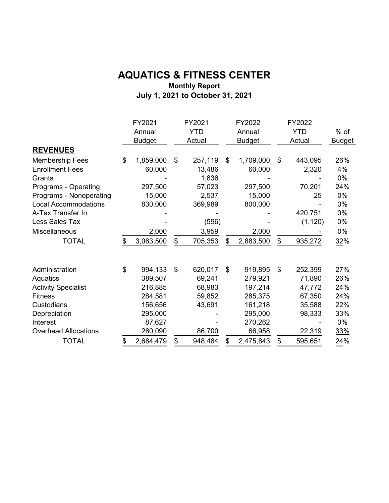#### **AQUATICS & FITNESS CENTER Monthly Report July 1, 2021 to October 31, 2021**

|                             | FY2021<br>Annual<br><b>Budget</b> | FY2021<br><b>YTD</b><br>Actual | FY2022<br>Annual<br><b>Budget</b> | FY2022<br><b>YTD</b><br>Actual | $%$ of<br><b>Budget</b> |
|-----------------------------|-----------------------------------|--------------------------------|-----------------------------------|--------------------------------|-------------------------|
| <b>REVENUES</b>             |                                   |                                |                                   |                                |                         |
| <b>Membership Fees</b>      | \$<br>1,859,000                   | \$<br>257,119                  | \$<br>1,709,000                   | \$<br>443,095                  | 26%                     |
| <b>Enrollment Fees</b>      | 60,000                            | 13,486                         | 60,000                            | 2,320                          | 4%                      |
| Grants                      |                                   | 1,836                          |                                   |                                | 0%                      |
| Programs - Operating        | 297,500                           | 57,023                         | 297,500                           | 70,201                         | 24%                     |
| Programs - Nonoperating     | 15,000                            | 2,537                          | 15,000                            | 25                             | 0%                      |
| <b>Local Accommodations</b> | 830,000                           | 369,989                        | 800,000                           |                                | 0%                      |
| A-Tax Transfer In           |                                   |                                |                                   | 420,751                        | 0%                      |
| Less Sales Tax              |                                   | (596)                          |                                   | (1, 120)                       | 0%                      |
| Miscellaneous               | 2,000                             | 3,959                          | 2,000                             |                                | $0\%$                   |
| <b>TOTAL</b>                | \$<br>3,063,500                   | \$<br>705,353                  | \$<br>2,883,500                   | \$<br>935,272                  | 32%                     |
| Administration              | \$<br>994,133                     | \$<br>620,017                  | \$<br>919,895                     | \$<br>252,399                  | 27%                     |
| Aquatics                    | 389,507                           | 69,241                         | 279,921                           | 71,890                         | 26%                     |
| <b>Activity Specialist</b>  | 216,885                           | 68,983                         | 197,214                           | 47,772                         | 24%                     |
| <b>Fitness</b>              | 284,581                           | 59,852                         | 285,375                           | 67,350                         | 24%                     |
| Custodians                  | 156,656                           | 43,691                         | 161,218                           | 35,588                         | 22%                     |
| Depreciation                | 295,000                           |                                | 295,000                           | 98,333                         | 33%                     |
| Interest                    | 87,627                            |                                | 270,262                           |                                | 0%                      |
| <b>Overhead Allocations</b> | 260,090                           | 86,700                         | 66,958                            | 22,319                         | 33%                     |
| <b>TOTAL</b>                | \$<br>2,684,479                   | \$<br>948,484                  | \$<br>2,475,843                   | \$<br>595,651                  | 24%                     |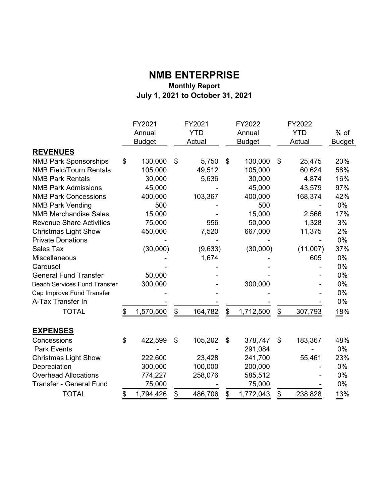#### **NMB ENTERPRISE Monthly Report July 1, 2021 to October 31, 2021**

|                                     | FY2021<br>Annual<br><b>Budget</b> |           | FY2021<br><b>YTD</b><br>Actual |               | FY2022<br>Annual<br><b>Budget</b> | FY2022<br><b>YTD</b><br>Actual |          | $%$ of<br><b>Budget</b> |
|-------------------------------------|-----------------------------------|-----------|--------------------------------|---------------|-----------------------------------|--------------------------------|----------|-------------------------|
| <b>REVENUES</b>                     |                                   |           |                                |               |                                   |                                |          |                         |
| <b>NMB Park Sponsorships</b>        | \$                                | 130,000   | \$<br>5,750                    | \$            | 130,000                           | \$                             | 25,475   | 20%                     |
| <b>NMB Field/Tourn Rentals</b>      |                                   | 105,000   | 49,512                         |               | 105,000                           |                                | 60,624   | 58%                     |
| <b>NMB Park Rentals</b>             |                                   | 30,000    | 5,636                          |               | 30,000                            |                                | 4,874    | 16%                     |
| <b>NMB Park Admissions</b>          |                                   | 45,000    |                                |               | 45,000                            |                                | 43,579   | 97%                     |
| <b>NMB Park Concessions</b>         |                                   | 400,000   | 103,367                        |               | 400,000                           |                                | 168,374  | 42%                     |
| <b>NMB Park Vending</b>             |                                   | 500       |                                |               | 500                               |                                |          | 0%                      |
| <b>NMB Merchandise Sales</b>        |                                   | 15,000    |                                |               | 15,000                            |                                | 2,566    | 17%                     |
| <b>Revenue Share Activities</b>     |                                   | 75,000    | 956                            |               | 50,000                            |                                | 1,328    | 3%                      |
| <b>Christmas Light Show</b>         |                                   | 450,000   | 7,520                          |               | 667,000                           |                                | 11,375   | 2%                      |
| <b>Private Donations</b>            |                                   |           |                                |               |                                   |                                |          | 0%                      |
| <b>Sales Tax</b>                    |                                   | (30,000)  | (9,633)                        |               | (30,000)                          |                                | (11,007) | 37%                     |
| Miscellaneous                       |                                   |           | 1,674                          |               |                                   |                                | 605      | 0%                      |
| Carousel                            |                                   |           |                                |               |                                   |                                |          | 0%                      |
| <b>General Fund Transfer</b>        |                                   | 50,000    |                                |               |                                   |                                |          | 0%                      |
| <b>Beach Services Fund Transfer</b> |                                   | 300,000   |                                |               | 300,000                           |                                |          | 0%                      |
| Cap Improve Fund Transfer           |                                   |           |                                |               |                                   |                                |          | 0%                      |
| A-Tax Transfer In                   |                                   |           |                                |               |                                   |                                |          | 0%                      |
| <b>TOTAL</b>                        | \$                                | 1,570,500 | \$<br>164,782                  | $\frac{1}{2}$ | 1,712,500                         | \$                             | 307,793  | 18%                     |
| <b>EXPENSES</b>                     |                                   |           |                                |               |                                   |                                |          |                         |
| Concessions                         | \$                                | 422,599   | \$<br>105,202                  | \$            | 378,747                           | \$                             | 183,367  | 48%                     |
| <b>Park Events</b>                  |                                   |           |                                |               | 291,084                           |                                |          | 0%                      |
| <b>Christmas Light Show</b>         |                                   | 222,600   | 23,428                         |               | 241,700                           |                                | 55,461   | 23%                     |
| Depreciation                        |                                   | 300,000   | 100,000                        |               | 200,000                           |                                |          | 0%                      |
| <b>Overhead Allocations</b>         |                                   | 774,227   | 258,076                        |               | 585,512                           |                                |          | 0%                      |
| <b>Transfer - General Fund</b>      |                                   | 75,000    |                                |               | 75,000                            |                                |          | 0%                      |
| <b>TOTAL</b>                        | \$                                | 1,794,426 | \$<br>486,706                  | \$            | 1,772,043                         | \$                             | 238,828  | 13%                     |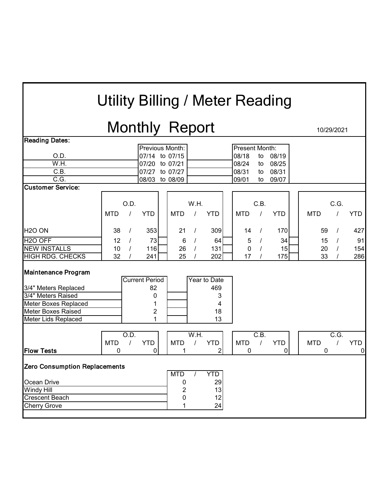# Utility Billing / Meter Reading

# Monthly Report 10/29/2021

|                                                                                                                                                      |            |          | ◢                                                       |                                             |          |                                           |                |          |            |            |      |             |
|------------------------------------------------------------------------------------------------------------------------------------------------------|------------|----------|---------------------------------------------------------|---------------------------------------------|----------|-------------------------------------------|----------------|----------|------------|------------|------|-------------|
| <b>Reading Dates:</b>                                                                                                                                |            |          |                                                         |                                             |          |                                           |                |          |            |            |      |             |
|                                                                                                                                                      |            |          | Previous Month:                                         |                                             |          |                                           | Present Month: |          |            |            |      |             |
| O.D.                                                                                                                                                 |            |          | 07/14 to 07/15                                          |                                             |          |                                           | 08/18          | to       | 08/19      |            |      |             |
| W.H.                                                                                                                                                 |            |          | 07/20 to 07/21                                          |                                             |          |                                           | 08/24          | to       | 08/25      |            |      |             |
| C.B.                                                                                                                                                 |            |          | 07/27                                                   | to 07/27                                    |          |                                           | 08/31          | to       | 08/31      |            |      |             |
| $\overline{C.G.}$                                                                                                                                    |            |          | 08/03                                                   | to 08/09                                    |          |                                           | 09/01          | to       | 09/07      |            |      |             |
| <b>Customer Service:</b>                                                                                                                             |            |          |                                                         |                                             |          |                                           |                |          |            |            |      |             |
|                                                                                                                                                      |            |          |                                                         |                                             |          |                                           |                |          |            |            |      |             |
|                                                                                                                                                      |            | O.D.     |                                                         |                                             | W.H.     |                                           |                | C.B.     |            |            | C.G. |             |
|                                                                                                                                                      | <b>MTD</b> |          | <b>YTD</b>                                              | <b>MTD</b>                                  |          | <b>YTD</b>                                | <b>MTD</b>     |          | <b>YTD</b> | <b>MTD</b> |      | <b>YTD</b>  |
|                                                                                                                                                      |            |          |                                                         |                                             |          |                                           |                |          |            |            |      |             |
| H <sub>2</sub> O ON                                                                                                                                  | 38         | $\prime$ | 353                                                     | 21                                          | $\prime$ | 309                                       | 14             | $\prime$ | 170        | 59         |      | 427         |
| H <sub>2</sub> O OFF                                                                                                                                 | 12         |          | 73                                                      | 6                                           |          | 64                                        | 5              |          | 34         | 15         |      | 91          |
| <b>NEW INSTALLS</b>                                                                                                                                  | 10         |          | 116                                                     | 26                                          |          | 131                                       | $\mathbf 0$    |          | 15         | 20         |      | 154         |
| <b>HIGH RDG. CHECKS</b>                                                                                                                              | 32         |          | 241                                                     | 25                                          |          | 202                                       | 17             |          | 175        | 33         |      | 286         |
| <b>Maintenance Program</b><br>3/4" Meters Replaced<br>3/4" Meters Raised<br>Meter Boxes Replaced<br><b>Meter Boxes Raised</b><br>Meter Lids Replaced |            |          | <b>Current Period</b><br>82<br>0<br>1<br>$\overline{c}$ |                                             |          | Year to Date<br>469<br>3<br>4<br>18<br>13 |                |          |            |            |      |             |
|                                                                                                                                                      |            | O.D.     |                                                         |                                             | W.H.     |                                           |                | C.B.     |            |            | C.G. |             |
|                                                                                                                                                      | <b>MTD</b> | $\prime$ | <b>YTD</b>                                              | <b>MTD</b>                                  |          | <b>YTD</b>                                | <b>MTD</b>     |          | <b>YTD</b> | <b>MTD</b> |      | <b>YTD</b>  |
| <b>Flow Tests</b>                                                                                                                                    | 0          |          | $\mathbf 0$                                             | 1                                           |          | $\overline{2}$                            | 0              |          | $\pmb{0}$  | 0          |      | $\mathbf 0$ |
| <b>Zero Consumption Replacements</b><br>Ocean Drive<br><b>Windy Hill</b><br><b>Crescent Beach</b><br>Cherry Grove                                    |            |          |                                                         | <b>MTD</b><br>0<br>$\overline{c}$<br>0<br>1 |          | <b>YTD</b><br>29<br>13<br>12<br>24        |                |          |            |            |      |             |
|                                                                                                                                                      |            |          |                                                         |                                             |          |                                           |                |          |            |            |      |             |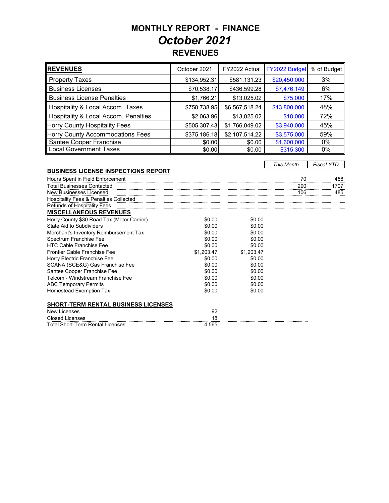### **MONTHLY REPORT - FINANCE REVENUES***October 2021*

| <b>REVENUES</b>                      | October 2021 | FY2022 Actual  | FY2022 Budget | % of Budget |
|--------------------------------------|--------------|----------------|---------------|-------------|
| <b>Property Taxes</b>                | \$134,952.31 | \$581,131.23   | \$20,450,000  | 3%          |
| <b>Business Licenses</b>             | \$70,538.17  | \$436,599.28   | \$7,476,149   | 6%          |
| <b>Business License Penalties</b>    | \$1,766.21   | \$13,025.02    | \$75,000      | 17%         |
| Hospitality & Local Accom. Taxes     | \$758,738.95 | \$6,567,518.24 | \$13,800,000  | 48%         |
| Hospitality & Local Accom. Penalties | \$2,063.96   | \$13,025.02    | \$18,000      | 72%         |
| Horry County Hospitality Fees        | \$505,307.43 | \$1,766,049.02 | \$3,940,000   | 45%         |
| Horry County Accommodations Fees     | \$375,186.18 | \$2,107,514.22 | \$3,575,000   | 59%         |
| Santee Cooper Franchise              | \$0.00       | \$0.00         | \$1,600,000   | 0%          |
| <b>Local Government Taxes</b>        | \$0.00       | \$0.00         | \$315,300     | 0%          |

*This Month Fiscal YTD*

#### **BUSINESS LICENSE INSPECTIONS REPORT**

Total Short-Term Rental Licenses 4,565

| Hours Spent in Field Enforcement           |            |            | 70  | 458  |
|--------------------------------------------|------------|------------|-----|------|
| <b>Total Businesses Contacted</b>          |            |            | 290 | 1707 |
| New Businesses Licensed                    |            |            | 106 | 485  |
| Hospitality Fees & Penalties Collected     |            |            |     |      |
| <b>Refunds of Hospitality Fees</b>         |            |            |     |      |
| <b>MISCELLANEOUS REVENUES</b>              |            |            |     |      |
| Horry County \$30 Road Tax (Motor Carrier) | \$0.00     | \$0.00     |     |      |
| State Aid to Subdividers                   | \$0.00     | \$0.00     |     |      |
| Merchant's Inventory Reimbursement Tax     | \$0.00     | \$0.00     |     |      |
| Spectrum Franchise Fee                     | \$0.00     | \$0.00     |     |      |
| <b>HTC Cable Franchise Fee</b>             | \$0.00     | \$0.00     |     |      |
| Frontier Cable Franchise Fee               | \$1.203.47 | \$1.203.47 |     |      |
| Horry Electric Franchise Fee               | \$0.00     | \$0.00     |     |      |
| SCANA (SCE&G) Gas Franchise Fee            | \$0.00     | \$0.00     |     |      |
| Santee Cooper Franchise Fee                | \$0.00     | \$0.00     |     |      |
| Telcom - Windstream Franchise Fee          | \$0.00     | \$0.00     |     |      |
| <b>ABC Temporary Permits</b>               | \$0.00     | \$0.00     |     |      |
| <b>Homestead Exemption Tax</b>             | \$0.00     | \$0.00     |     |      |
| <b>SHORT-TERM RENTAL BUSINESS LICENSES</b> |            |            |     |      |
|                                            |            |            |     |      |
| <b>New Licenses</b>                        | 92         |            |     |      |
| <b>Closed Licenses</b>                     | 18         |            |     |      |